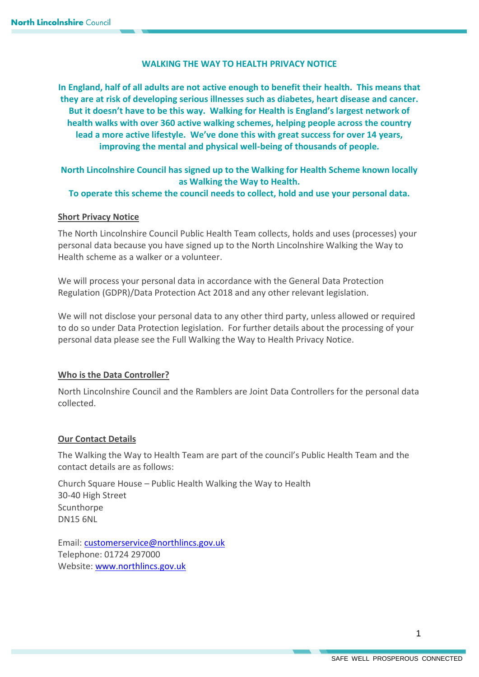# **WALKING THE WAY TO HEALTH PRIVACY NOTICE**

**In England, half of all adults are not active enough to benefit their health. This means that they are at risk of developing serious illnesses such as diabetes, heart disease and cancer. But it doesn't have to be this way. Walking for Health is England's largest network of health walks with over 360 active walking schemes, helping people across the country lead a more active lifestyle. We've done this with great success for over 14 years, improving the mental and physical well-being of thousands of people.**

# **North Lincolnshire Council has signed up to the Walking for Health Scheme known locally as Walking the Way to Health.**

# **To operate this scheme the council needs to collect, hold and use your personal data.**

# **Short Privacy Notice**

The North Lincolnshire Council Public Health Team collects, holds and uses (processes) your personal data because you have signed up to the North Lincolnshire Walking the Way to Health scheme as a walker or a volunteer.

We will process your personal data in accordance with the General Data Protection Regulation (GDPR)/Data Protection Act 2018 and any other relevant legislation.

We will not disclose your personal data to any other third party, unless allowed or required to do so under Data Protection legislation. For further details about the processing of your personal data please see the Full Walking the Way to Health Privacy Notice.

# **Who is the Data Controller?**

North Lincolnshire Council and the Ramblers are Joint Data Controllers for the personal data collected.

# **Our Contact Details**

The Walking the Way to Health Team are part of the council's Public Health Team and the contact details are as follows:

Church Square House – Public Health Walking the Way to Health 30-40 High Street **Scunthorpe** DN15 6NL

Email: [customerservice@northlincs.gov.uk](mailto:customerservice@northlincs.gov.uk) Telephone: 01724 297000 Website: [www.northlincs.gov.uk](http://www.northlincs.gov.uk/)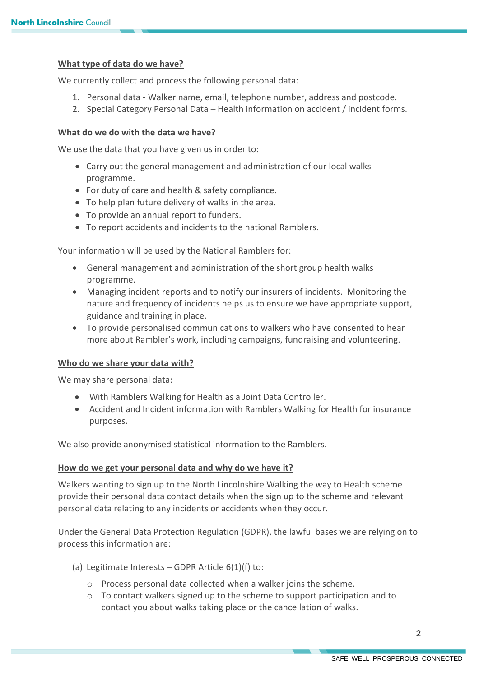# **What type of data do we have?**

We currently collect and process the following personal data:

- 1. Personal data Walker name, email, telephone number, address and postcode.
- 2. Special Category Personal Data Health information on accident / incident forms.

## **What do we do with the data we have?**

We use the data that you have given us in order to:

- Carry out the general management and administration of our local walks programme.
- For duty of care and health & safety compliance.
- To help plan future delivery of walks in the area.
- To provide an annual report to funders.
- To report accidents and incidents to the national Ramblers.

Your information will be used by the National Ramblers for:

- General management and administration of the short group health walks programme.
- Managing incident reports and to notify our insurers of incidents. Monitoring the nature and frequency of incidents helps us to ensure we have appropriate support, guidance and training in place.
- To provide personalised communications to walkers who have consented to hear more about Rambler's work, including campaigns, fundraising and volunteering.

## **Who do we share your data with?**

We may share personal data:

- With Ramblers Walking for Health as a Joint Data Controller.
- Accident and Incident information with Ramblers Walking for Health for insurance purposes.

We also provide anonymised statistical information to the Ramblers.

## **How do we get your personal data and why do we have it?**

Walkers wanting to sign up to the North Lincolnshire Walking the way to Health scheme provide their personal data contact details when the sign up to the scheme and relevant personal data relating to any incidents or accidents when they occur.

Under the General Data Protection Regulation (GDPR), the lawful bases we are relying on to process this information are:

- (a) Legitimate Interests GDPR Article  $6(1)(f)$  to:
	- o Process personal data collected when a walker joins the scheme.
	- $\circ$  To contact walkers signed up to the scheme to support participation and to contact you about walks taking place or the cancellation of walks.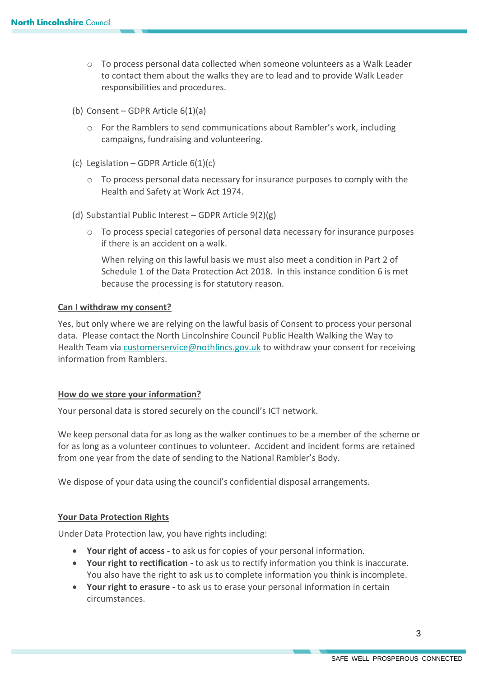- o To process personal data collected when someone volunteers as a Walk Leader to contact them about the walks they are to lead and to provide Walk Leader responsibilities and procedures.
- (b) Consent GDPR Article 6(1)(a)
	- o For the Ramblers to send communications about Rambler's work, including campaigns, fundraising and volunteering.
- (c) Legislation GDPR Article  $6(1)(c)$ 
	- o To process personal data necessary for insurance purposes to comply with the Health and Safety at Work Act 1974.
- (d) Substantial Public Interest GDPR Article 9(2)(g)
	- $\circ$  To process special categories of personal data necessary for insurance purposes if there is an accident on a walk.

When relying on this lawful basis we must also meet a condition in Part 2 of Schedule 1 of the Data Protection Act 2018. In this instance condition 6 is met because the processing is for statutory reason.

## **Can I withdraw my consent?**

Yes, but only where we are relying on the lawful basis of Consent to process your personal data. Please contact the North Lincolnshire Council Public Health Walking the Way to Health Team via [customerservice@nothlincs.gov.uk](mailto:customerservice@nothlincs.gov.uk) to withdraw your consent for receiving information from Ramblers.

## **How do we store your information?**

Your personal data is stored securely on the council's ICT network.

We keep personal data for as long as the walker continues to be a member of the scheme or for as long as a volunteer continues to volunteer. Accident and incident forms are retained from one year from the date of sending to the National Rambler's Body.

We dispose of your data using the council's confidential disposal arrangements.

## **Your Data Protection Rights**

Under Data Protection law, you have rights including:

- **Your right of access -** to ask us for copies of your personal information.
- **Your right to rectification -** to ask us to rectify information you think is inaccurate. You also have the right to ask us to complete information you think is incomplete.
- **Your right to erasure -** to ask us to erase your personal information in certain circumstances.